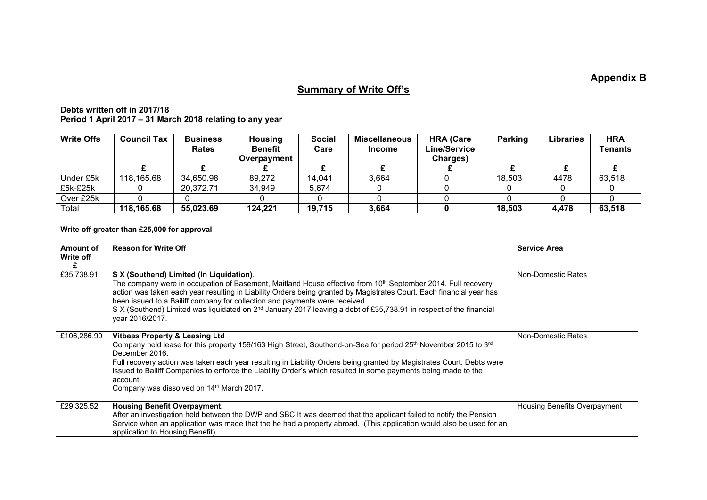**Appendix B**

## **Summary of Write Off's**

**Debts written off in 2017/18 Period 1 April 2017 – 31 March 2018 relating to any year**

| <b>Write Offs</b> | <b>Council Tax</b> | <b>Business</b><br><b>Rates</b> | <b>Housing</b><br><b>Benefit</b><br>Overpayment | <b>Social</b><br>Care | <b>Miscellaneous</b><br><b>Income</b> | <b>HRA (Care</b><br>Line/Service<br>Charges) | Parking | <b>Libraries</b> | <b>HRA</b><br>Tenants |
|-------------------|--------------------|---------------------------------|-------------------------------------------------|-----------------------|---------------------------------------|----------------------------------------------|---------|------------------|-----------------------|
|                   |                    |                                 |                                                 |                       |                                       |                                              |         |                  |                       |
| Under £5k         | 118,165.68         | 34,650.98                       | 89,272                                          | 14.041                | 3,664                                 |                                              | 18,503  | 4478             | 63,518                |
| £5k-£25k          |                    | 20,372.71                       | 34,949                                          | 5,674                 |                                       |                                              |         |                  |                       |
| Over £25k         |                    |                                 |                                                 |                       |                                       |                                              |         |                  |                       |
| Total             | 118,165.68         | 55,023.69                       | 124,221                                         | 19,715                | 3,664                                 |                                              | 18,503  | 4,478            | 63,518                |

## **Write off greater than £25,000 for approval**

| Amount of<br>Write off<br>£ | <b>Reason for Write Off</b>                                                                                                                                                                                                                                                                                                                                                                                                                                                                                                      | <b>Service Area</b>          |
|-----------------------------|----------------------------------------------------------------------------------------------------------------------------------------------------------------------------------------------------------------------------------------------------------------------------------------------------------------------------------------------------------------------------------------------------------------------------------------------------------------------------------------------------------------------------------|------------------------------|
| £35,738.91                  | S X (Southend) Limited (In Liquidation).<br>The company were in occupation of Basement, Maitland House effective from 10 <sup>th</sup> September 2014. Full recovery<br>action was taken each year resulting in Liability Orders being granted by Magistrates Court. Each financial year has<br>been issued to a Bailiff company for collection and payments were received.<br>S X (Southend) Limited was liquidated on 2 <sup>nd</sup> January 2017 leaving a debt of £35,738.91 in respect of the financial<br>vear 2016/2017. | Non-Domestic Rates           |
| £106,286.90                 | Vitbaas Property & Leasing Ltd<br>Company held lease for this property 159/163 High Street, Southend-on-Sea for period 25 <sup>th</sup> November 2015 to 3 <sup>rd</sup><br>December 2016.<br>Full recovery action was taken each year resulting in Liability Orders being granted by Magistrates Court. Debts were<br>issued to Bailiff Companies to enforce the Liability Order's which resulted in some payments being made to the<br>account.<br>Company was dissolved on 14 <sup>th</sup> March 2017.                       | Non-Domestic Rates           |
| £29,325.52                  | <b>Housing Benefit Overpayment.</b><br>After an investigation held between the DWP and SBC It was deemed that the applicant failed to notify the Pension<br>Service when an application was made that the he had a property abroad. (This application would also be used for an<br>application to Housing Benefit)                                                                                                                                                                                                               | Housing Benefits Overpayment |